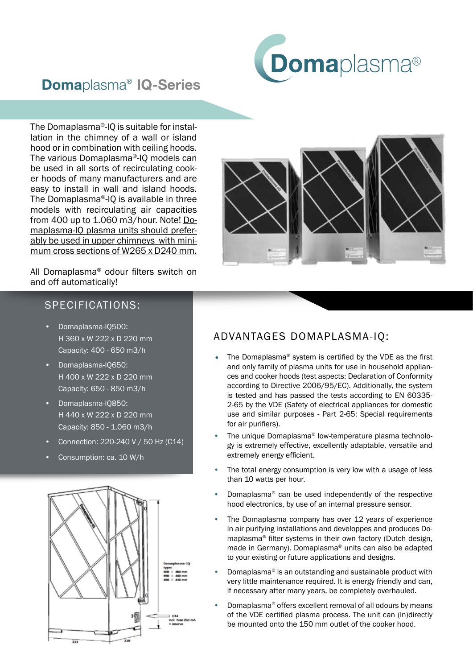

## Domaplasma® IQ-Series

The Domaplasma®-IQ is suitable for installation in the chimney of a wall or island hood or in combination with ceiling hoods. The various Domaplasma®-IQ models can be used in all sorts of recirculating cooker hoods of many manufacturers and are easy to install in wall and island hoods. The Domaplasma®-IQ is available in three models with recirculating air capacities from 400 up to 1.060 m3/hour. Note! Domaplasma-IQ plasma units should preferably be used in upper chimneys with minimum cross sections of W265 x D240 mm.

All Domaplasma® odour filters switch on and off automatically!

## SPECIFICATIONS:

- Domaplasma-IQ500: H 360 x W 222 x D 220 mm Capacity: 400 - 650 m3/h
- Domaplasma-IQ650: H 400 x W 222 x D 220 mm Capacity: 650 - 850 m3/h
- Domaplasma-IQ850: H 440 x W 222 x D 220 mm Capacity: 850 - 1.060 m3/h
- Connection: 220-240 V / 50 Hz (C14)
- Consumption: ca. 10 W/h





## ADVANTAGES DOMAPLASMA-IQ:

- The Domaplasma® system is certified by the VDE as the first and only family of plasma units for use in household appliances and cooker hoods (test aspects: Declaration of Conformity according to Directive 2006/95/EC). Additionally, the system is tested and has passed the tests according to EN 60335- 2-65 by the VDE (Safety of electrical appliances for domestic use and similar purposes - Part 2-65: Special requirements for air purifiers).
- The unique Domaplasma® low-temperature plasma technology is extremely effective, excellently adaptable, versatile and extremely energy efficient.
- The total energy consumption is very low with a usage of less than 10 watts per hour.
- Domaplasma® can be used independently of the respective hood electronics, by use of an internal pressure sensor.
- The Domaplasma company has over 12 years of experience in air purifying installations and developpes and produces Domaplasma® filter systems in their own factory (Dutch design, made in Germany). Domaplasma® units can also be adapted to your existing or future applications and designs.
- Domaplasma® is an outstanding and sustainable product with very little maintenance required. It is energy friendly and can, if necessary after many years, be completely overhauled.
- Domaplasma® offers excellent removal of all odours by means of the VDE certified plasma process. The unit can (in)directly be mounted onto the 150 mm outlet of the cooker hood.